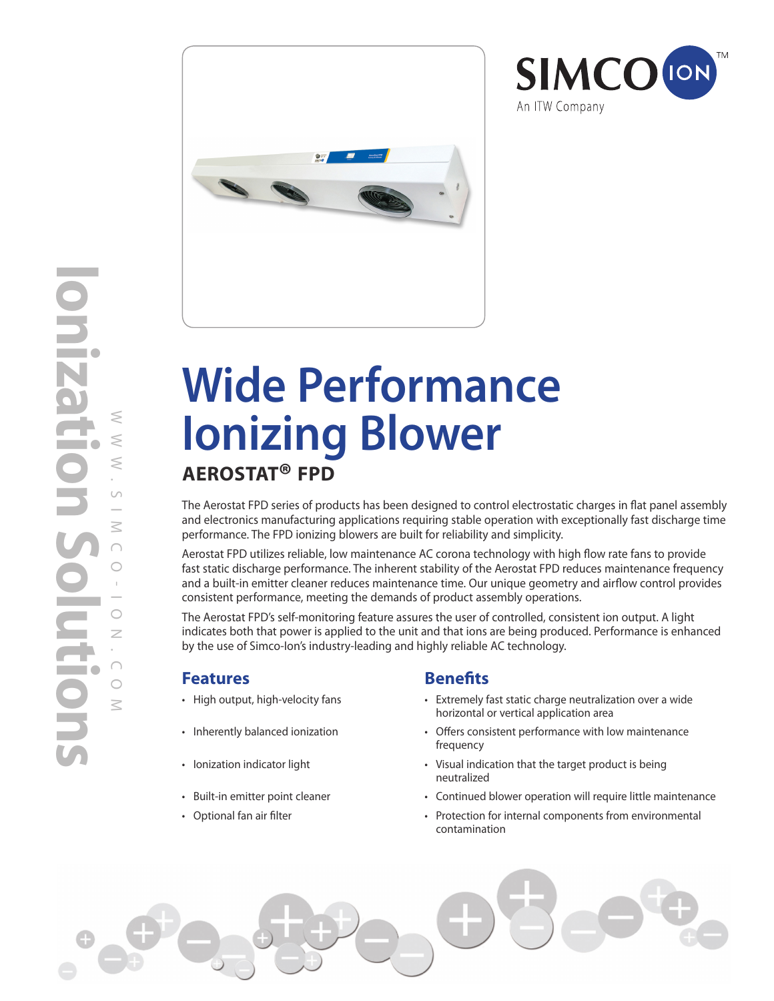



# **Wide Performance Ionizing Blower AEROSTAT® FPD**

The Aerostat FPD series of products has been designed to control electrostatic charges in flat panel assembly and electronics manufacturing applications requiring stable operation with exceptionally fast discharge time performance. The FPD ionizing blowers are built for reliability and simplicity.

Aerostat FPD utilizes reliable, low maintenance AC corona technology with high flow rate fans to provide fast static discharge performance. The inherent stability of the Aerostat FPD reduces maintenance frequency and a built-in emitter cleaner reduces maintenance time. Our unique geometry and airflow control provides consistent performance, meeting the demands of product assembly operations.

The Aerostat FPD's self-monitoring feature assures the user of controlled, consistent ion output. A light indicates both that power is applied to the unit and that ions are being produced. Performance is enhanced by the use of Simco-Ion's industry-leading and highly reliable AC technology.

### **Features Benefits**

- 
- 
- 
- 
- 

• High output, high-velocity fans • Extremely fast static charge neutralization over a wide horizontal or vertical application area

**SIMCO** (ION)

An ITW Company

- Inherently balanced ionization Offers consistent performance with low maintenance frequency
- Ionization indicator light Visual indication that the target product is being neutralized
- Built-in emitter point cleaner **•** Continued blower operation will require little maintenance
- Optional fan air filter Protection for internal components from environmental contamination